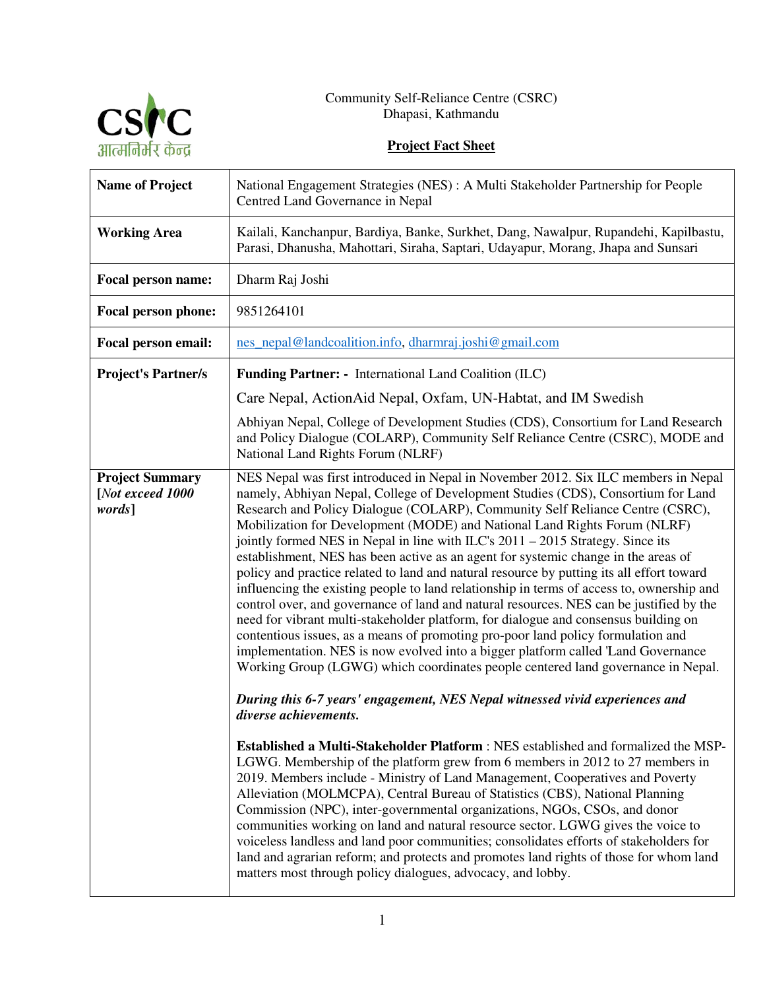

## **Project Fact Sheet**

| <b>Name of Project</b>                               | National Engagement Strategies (NES) : A Multi Stakeholder Partnership for People<br>Centred Land Governance in Nepal                                                                                                                                                                                                                                                                                                                                                                                                                                                                                                                                                                                                                                                                                                                                                                                                                                                                                                                                                                                                                                                                                                                                                                                                                                                                                                                                                                                                        |
|------------------------------------------------------|------------------------------------------------------------------------------------------------------------------------------------------------------------------------------------------------------------------------------------------------------------------------------------------------------------------------------------------------------------------------------------------------------------------------------------------------------------------------------------------------------------------------------------------------------------------------------------------------------------------------------------------------------------------------------------------------------------------------------------------------------------------------------------------------------------------------------------------------------------------------------------------------------------------------------------------------------------------------------------------------------------------------------------------------------------------------------------------------------------------------------------------------------------------------------------------------------------------------------------------------------------------------------------------------------------------------------------------------------------------------------------------------------------------------------------------------------------------------------------------------------------------------------|
| <b>Working Area</b>                                  | Kailali, Kanchanpur, Bardiya, Banke, Surkhet, Dang, Nawalpur, Rupandehi, Kapilbastu,<br>Parasi, Dhanusha, Mahottari, Siraha, Saptari, Udayapur, Morang, Jhapa and Sunsari                                                                                                                                                                                                                                                                                                                                                                                                                                                                                                                                                                                                                                                                                                                                                                                                                                                                                                                                                                                                                                                                                                                                                                                                                                                                                                                                                    |
| Focal person name:                                   | Dharm Raj Joshi                                                                                                                                                                                                                                                                                                                                                                                                                                                                                                                                                                                                                                                                                                                                                                                                                                                                                                                                                                                                                                                                                                                                                                                                                                                                                                                                                                                                                                                                                                              |
| Focal person phone:                                  | 9851264101                                                                                                                                                                                                                                                                                                                                                                                                                                                                                                                                                                                                                                                                                                                                                                                                                                                                                                                                                                                                                                                                                                                                                                                                                                                                                                                                                                                                                                                                                                                   |
| Focal person email:                                  | nes_nepal@landcoalition.info, dharmraj.joshi@gmail.com                                                                                                                                                                                                                                                                                                                                                                                                                                                                                                                                                                                                                                                                                                                                                                                                                                                                                                                                                                                                                                                                                                                                                                                                                                                                                                                                                                                                                                                                       |
| <b>Project's Partner/s</b>                           | <b>Funding Partner:</b> - International Land Coalition (ILC)                                                                                                                                                                                                                                                                                                                                                                                                                                                                                                                                                                                                                                                                                                                                                                                                                                                                                                                                                                                                                                                                                                                                                                                                                                                                                                                                                                                                                                                                 |
|                                                      | Care Nepal, Action Aid Nepal, Oxfam, UN-Habtat, and IM Swedish                                                                                                                                                                                                                                                                                                                                                                                                                                                                                                                                                                                                                                                                                                                                                                                                                                                                                                                                                                                                                                                                                                                                                                                                                                                                                                                                                                                                                                                               |
|                                                      | Abhiyan Nepal, College of Development Studies (CDS), Consortium for Land Research<br>and Policy Dialogue (COLARP), Community Self Reliance Centre (CSRC), MODE and<br>National Land Rights Forum (NLRF)                                                                                                                                                                                                                                                                                                                                                                                                                                                                                                                                                                                                                                                                                                                                                                                                                                                                                                                                                                                                                                                                                                                                                                                                                                                                                                                      |
| <b>Project Summary</b><br>[Not exceed 1000<br>words] | NES Nepal was first introduced in Nepal in November 2012. Six ILC members in Nepal<br>namely, Abhiyan Nepal, College of Development Studies (CDS), Consortium for Land<br>Research and Policy Dialogue (COLARP), Community Self Reliance Centre (CSRC),<br>Mobilization for Development (MODE) and National Land Rights Forum (NLRF)<br>jointly formed NES in Nepal in line with ILC's 2011 - 2015 Strategy. Since its<br>establishment, NES has been active as an agent for systemic change in the areas of<br>policy and practice related to land and natural resource by putting its all effort toward<br>influencing the existing people to land relationship in terms of access to, ownership and<br>control over, and governance of land and natural resources. NES can be justified by the<br>need for vibrant multi-stakeholder platform, for dialogue and consensus building on<br>contentious issues, as a means of promoting pro-poor land policy formulation and<br>implementation. NES is now evolved into a bigger platform called 'Land Governance<br>Working Group (LGWG) which coordinates people centered land governance in Nepal.<br>During this 6-7 years' engagement, NES Nepal witnessed vivid experiences and<br>diverse achievements.<br><b>Established a Multi-Stakeholder Platform: NES established and formalized the MSP-</b><br>LGWG. Membership of the platform grew from 6 members in 2012 to 27 members in<br>2019. Members include - Ministry of Land Management, Cooperatives and Poverty |
|                                                      | Alleviation (MOLMCPA), Central Bureau of Statistics (CBS), National Planning<br>Commission (NPC), inter-governmental organizations, NGOs, CSOs, and donor<br>communities working on land and natural resource sector. LGWG gives the voice to<br>voiceless landless and land poor communities; consolidates efforts of stakeholders for<br>land and agrarian reform; and protects and promotes land rights of those for whom land<br>matters most through policy dialogues, advocacy, and lobby.                                                                                                                                                                                                                                                                                                                                                                                                                                                                                                                                                                                                                                                                                                                                                                                                                                                                                                                                                                                                                             |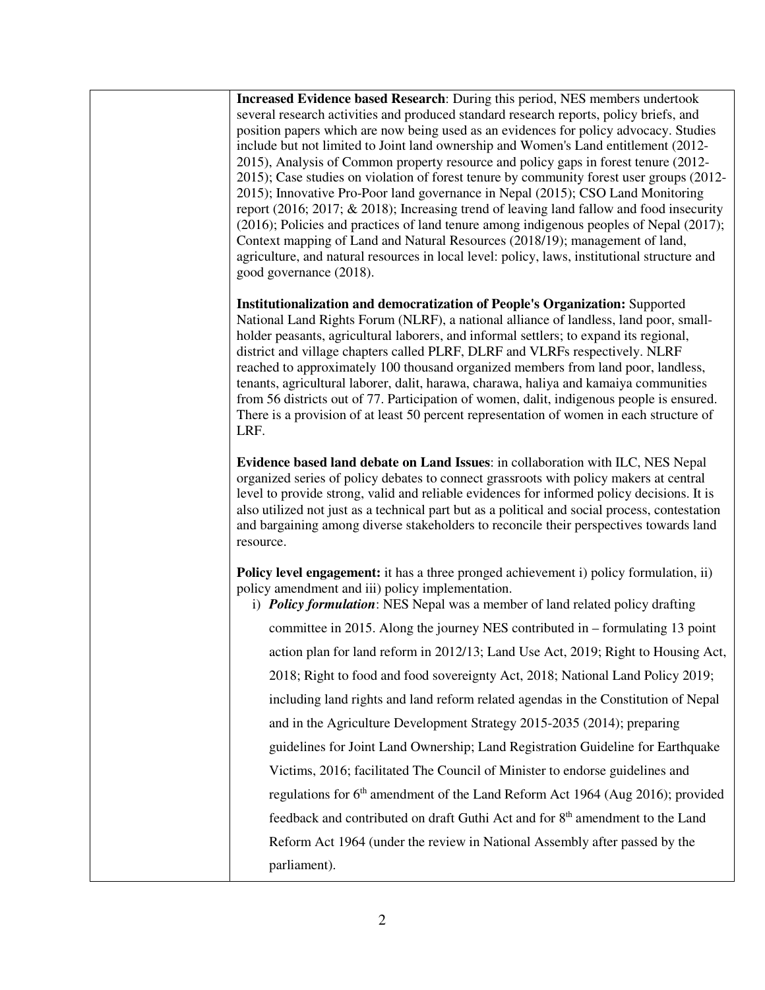**Increased Evidence based Research**: During this period, NES members undertook several research activities and produced standard research reports, policy briefs, and position papers which are now being used as an evidences for policy advocacy. Studies include but not limited to Joint land ownership and Women's Land entitlement (2012- 2015), Analysis of Common property resource and policy gaps in forest tenure (2012- 2015); Case studies on violation of forest tenure by community forest user groups (2012- 2015); Innovative Pro-Poor land governance in Nepal (2015); CSO Land Monitoring report (2016; 2017; & 2018); Increasing trend of leaving land fallow and food insecurity (2016); Policies and practices of land tenure among indigenous peoples of Nepal (2017); Context mapping of Land and Natural Resources (2018/19); management of land, agriculture, and natural resources in local level: policy, laws, institutional structure and good governance (2018).

**Institutionalization and democratization of People's Organization:** Supported National Land Rights Forum (NLRF), a national alliance of landless, land poor, smallholder peasants, agricultural laborers, and informal settlers; to expand its regional, district and village chapters called PLRF, DLRF and VLRFs respectively. NLRF reached to approximately 100 thousand organized members from land poor, landless, tenants, agricultural laborer, dalit, harawa, charawa, haliya and kamaiya communities from 56 districts out of 77. Participation of women, dalit, indigenous people is ensured. There is a provision of at least 50 percent representation of women in each structure of LRF.

**Evidence based land debate on Land Issues**: in collaboration with ILC, NES Nepal organized series of policy debates to connect grassroots with policy makers at central level to provide strong, valid and reliable evidences for informed policy decisions. It is also utilized not just as a technical part but as a political and social process, contestation and bargaining among diverse stakeholders to reconcile their perspectives towards land resource.

**Policy level engagement:** it has a three pronged achievement i) policy formulation, ii) policy amendment and iii) policy implementation.

i) *Policy formulation*: NES Nepal was a member of land related policy drafting committee in 2015. Along the journey NES contributed in – formulating 13 point action plan for land reform in 2012/13; Land Use Act, 2019; Right to Housing Act, 2018; Right to food and food sovereignty Act, 2018; National Land Policy 2019; including land rights and land reform related agendas in the Constitution of Nepal and in the Agriculture Development Strategy 2015-2035 (2014); preparing guidelines for Joint Land Ownership; Land Registration Guideline for Earthquake Victims, 2016; facilitated The Council of Minister to endorse guidelines and regulations for  $6<sup>th</sup>$  amendment of the Land Reform Act 1964 (Aug 2016); provided feedback and contributed on draft Guthi Act and for  $8<sup>th</sup>$  amendment to the Land Reform Act 1964 (under the review in National Assembly after passed by the parliament).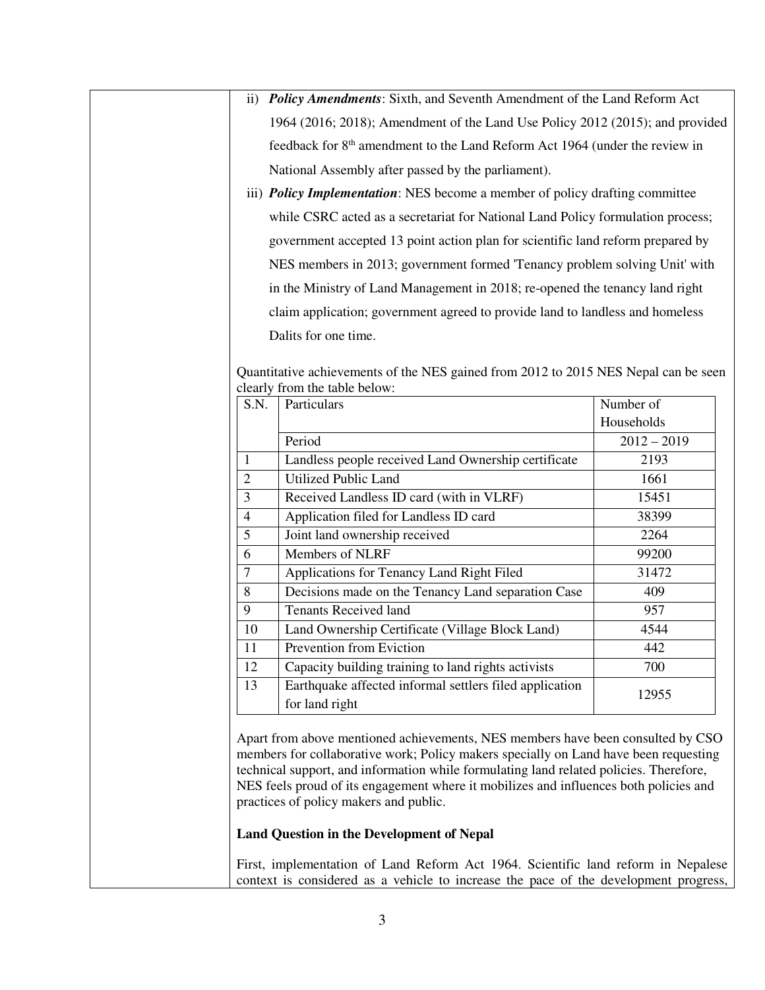- ii) *Policy Amendments*: Sixth, and Seventh Amendment of the Land Reform Act 1964 (2016; 2018); Amendment of the Land Use Policy 2012 (2015); and provided feedback for 8<sup>th</sup> amendment to the Land Reform Act 1964 (under the review in National Assembly after passed by the parliament).
- iii) *Policy Implementation*: NES become a member of policy drafting committee while CSRC acted as a secretariat for National Land Policy formulation process; government accepted 13 point action plan for scientific land reform prepared by NES members in 2013; government formed 'Tenancy problem solving Unit' with in the Ministry of Land Management in 2018; re-opened the tenancy land right claim application; government agreed to provide land to landless and homeless Dalits for one time.

| S.N.           | Particulars                                                               | Number of     |
|----------------|---------------------------------------------------------------------------|---------------|
|                |                                                                           | Households    |
|                | Period                                                                    | $2012 - 2019$ |
| 1              | Landless people received Land Ownership certificate                       | 2193          |
| $\overline{2}$ | <b>Utilized Public Land</b>                                               | 1661          |
| 3              | Received Landless ID card (with in VLRF)                                  | 15451         |
| $\overline{4}$ | Application filed for Landless ID card                                    | 38399         |
| 5              | Joint land ownership received                                             | 2264          |
| 6              | Members of NLRF                                                           | 99200         |
| 7              | Applications for Tenancy Land Right Filed                                 | 31472         |
| 8              | Decisions made on the Tenancy Land separation Case                        | 409           |
| 9              | <b>Tenants Received land</b>                                              | 957           |
| 10             | Land Ownership Certificate (Village Block Land)                           | 4544          |
| 11             | Prevention from Eviction                                                  | 442           |
| 12             | Capacity building training to land rights activists                       | 700           |
| 13             | Earthquake affected informal settlers filed application<br>for land right | 12955         |

Quantitative achievements of the NES gained from 2012 to 2015 NES Nepal can be seen clearly from the table below:

Apart from above mentioned achievements, NES members have been consulted by CSO members for collaborative work; Policy makers specially on Land have been requesting technical support, and information while formulating land related policies. Therefore, NES feels proud of its engagement where it mobilizes and influences both policies and practices of policy makers and public.

## **Land Question in the Development of Nepal**

First, implementation of Land Reform Act 1964. Scientific land reform in Nepalese context is considered as a vehicle to increase the pace of the development progress,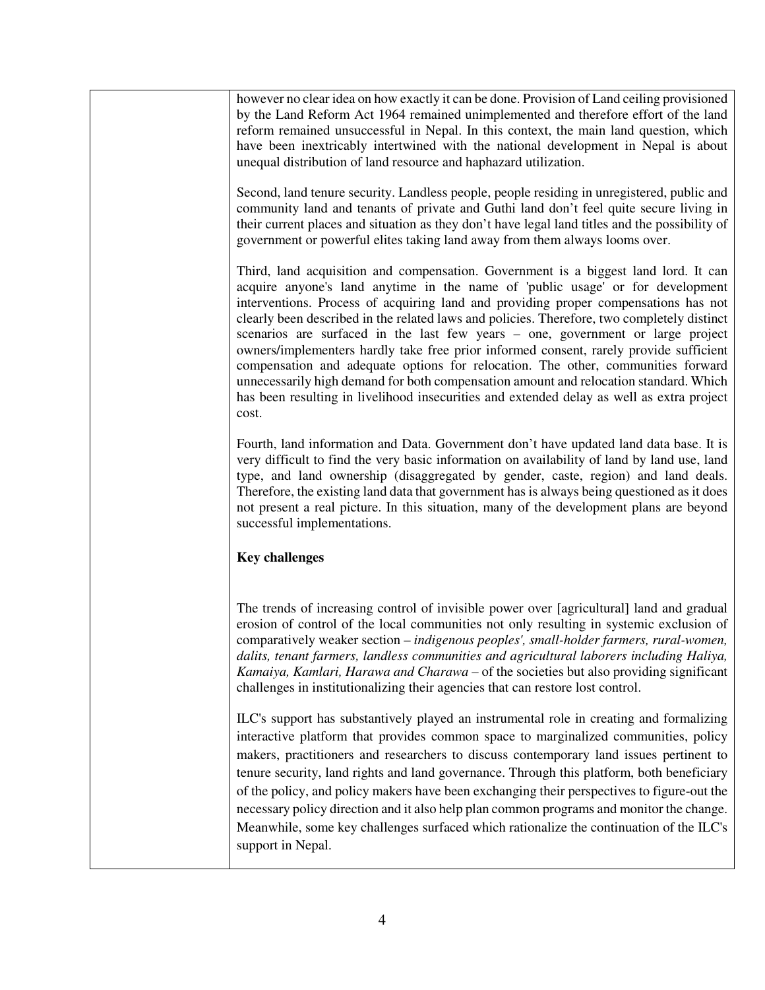however no clear idea on how exactly it can be done. Provision of Land ceiling provisioned by the Land Reform Act 1964 remained unimplemented and therefore effort of the land reform remained unsuccessful in Nepal. In this context, the main land question, which have been inextricably intertwined with the national development in Nepal is about unequal distribution of land resource and haphazard utilization.

Second, land tenure security. Landless people, people residing in unregistered, public and community land and tenants of private and Guthi land don't feel quite secure living in their current places and situation as they don't have legal land titles and the possibility of government or powerful elites taking land away from them always looms over.

Third, land acquisition and compensation. Government is a biggest land lord. It can acquire anyone's land anytime in the name of 'public usage' or for development interventions. Process of acquiring land and providing proper compensations has not clearly been described in the related laws and policies. Therefore, two completely distinct scenarios are surfaced in the last few years – one, government or large project owners/implementers hardly take free prior informed consent, rarely provide sufficient compensation and adequate options for relocation. The other, communities forward unnecessarily high demand for both compensation amount and relocation standard. Which has been resulting in livelihood insecurities and extended delay as well as extra project cost.

Fourth, land information and Data. Government don't have updated land data base. It is very difficult to find the very basic information on availability of land by land use, land type, and land ownership (disaggregated by gender, caste, region) and land deals. Therefore, the existing land data that government has is always being questioned as it does not present a real picture. In this situation, many of the development plans are beyond successful implementations.

## **Key challenges**

The trends of increasing control of invisible power over [agricultural] land and gradual erosion of control of the local communities not only resulting in systemic exclusion of comparatively weaker section – *indigenous peoples', small-holder farmers, rural-women, dalits, tenant farmers, landless communities and agricultural laborers including Haliya, Kamaiya, Kamlari, Harawa and Charawa –* of the societies but also providing significant challenges in institutionalizing their agencies that can restore lost control.

ILC's support has substantively played an instrumental role in creating and formalizing interactive platform that provides common space to marginalized communities, policy makers, practitioners and researchers to discuss contemporary land issues pertinent to tenure security, land rights and land governance. Through this platform, both beneficiary of the policy, and policy makers have been exchanging their perspectives to figure-out the necessary policy direction and it also help plan common programs and monitor the change. Meanwhile, some key challenges surfaced which rationalize the continuation of the ILC's support in Nepal.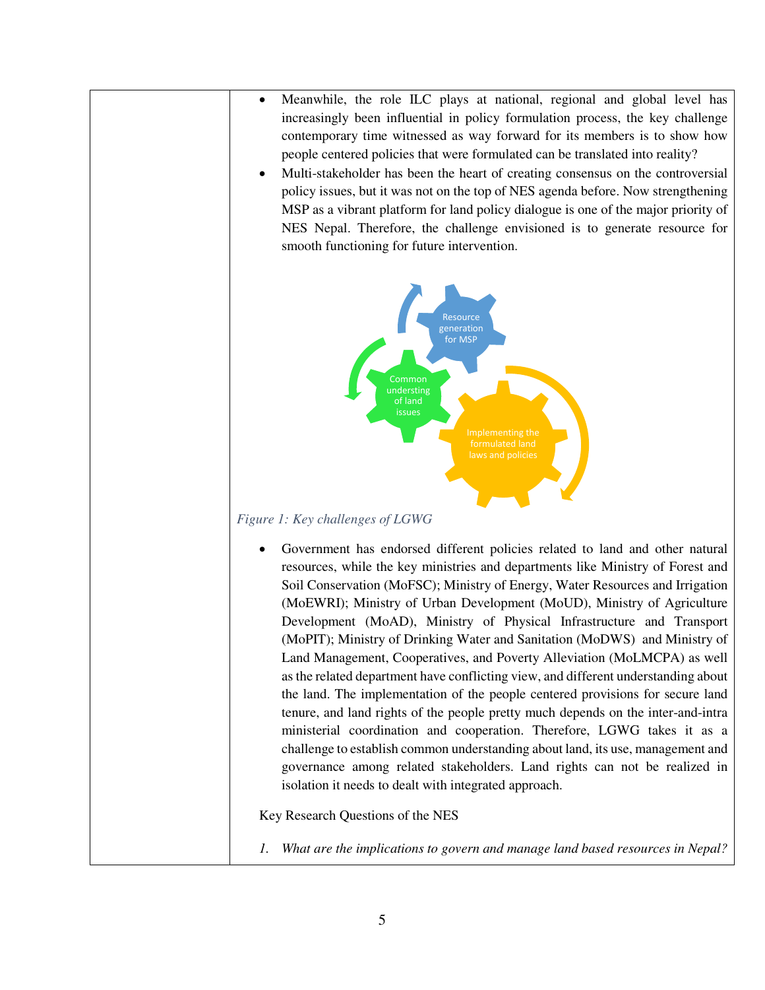- Meanwhile, the role ILC plays at national, regional and global level has increasingly been influential in policy formulation process, the key challenge contemporary time witnessed as way forward for its members is to show how people centered policies that were formulated can be translated into reality?
- Multi-stakeholder has been the heart of creating consensus on the controversial policy issues, but it was not on the top of NES agenda before. Now strengthening MSP as a vibrant platform for land policy dialogue is one of the major priority of NES Nepal. Therefore, the challenge envisioned is to generate resource for smooth functioning for future intervention.



## *Figure 1: Key challenges of LGWG*

• Government has endorsed different policies related to land and other natural resources, while the key ministries and departments like Ministry of Forest and Soil Conservation (MoFSC); Ministry of Energy, Water Resources and Irrigation (MoEWRI); Ministry of Urban Development (MoUD), Ministry of Agriculture Development (MoAD), Ministry of Physical Infrastructure and Transport (MoPIT); Ministry of Drinking Water and Sanitation (MoDWS) and Ministry of Land Management, Cooperatives, and Poverty Alleviation (MoLMCPA) as well as the related department have conflicting view, and different understanding about the land. The implementation of the people centered provisions for secure land tenure, and land rights of the people pretty much depends on the inter-and-intra ministerial coordination and cooperation. Therefore, LGWG takes it as a challenge to establish common understanding about land, its use, management and governance among related stakeholders. Land rights can not be realized in isolation it needs to dealt with integrated approach.

Key Research Questions of the NES

*1. What are the implications to govern and manage land based resources in Nepal?*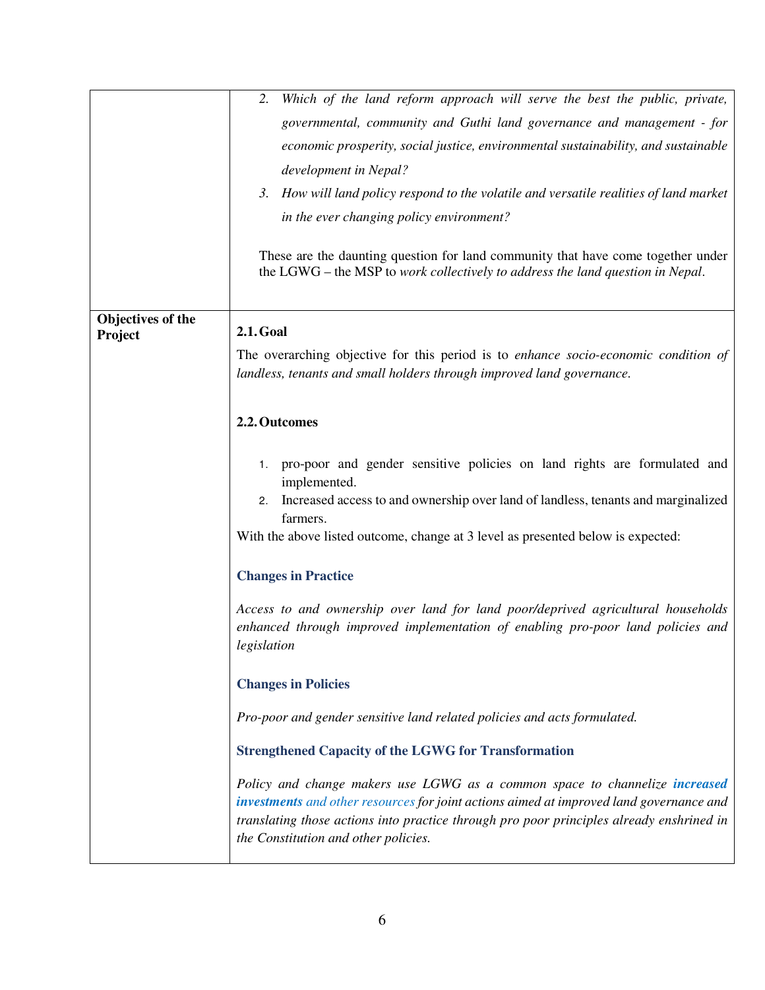|                              | Which of the land reform approach will serve the best the public, private,<br>2.<br>governmental, community and Guthi land governance and management - for<br>economic prosperity, social justice, environmental sustainability, and sustainable<br>development in Nepal?<br>3. How will land policy respond to the volatile and versatile realities of land market<br>in the ever changing policy environment?<br>These are the daunting question for land community that have come together under<br>the LGWG – the MSP to work collectively to address the land question in Nepal. |
|------------------------------|---------------------------------------------------------------------------------------------------------------------------------------------------------------------------------------------------------------------------------------------------------------------------------------------------------------------------------------------------------------------------------------------------------------------------------------------------------------------------------------------------------------------------------------------------------------------------------------|
| Objectives of the<br>Project | <b>2.1. Goal</b><br>The overarching objective for this period is to enhance socio-economic condition of<br>landless, tenants and small holders through improved land governance.                                                                                                                                                                                                                                                                                                                                                                                                      |
|                              | 2.2. Outcomes<br>pro-poor and gender sensitive policies on land rights are formulated and<br>1.<br>implemented.<br>Increased access to and ownership over land of landless, tenants and marginalized<br>2.<br>farmers.<br>With the above listed outcome, change at 3 level as presented below is expected:                                                                                                                                                                                                                                                                            |
|                              | <b>Changes in Practice</b><br>Access to and ownership over land for land poor/deprived agricultural households<br>enhanced through improved implementation of enabling pro-poor land policies and<br>$\label{eq:genulation} legislation$<br><b>Changes in Policies</b>                                                                                                                                                                                                                                                                                                                |
|                              | Pro-poor and gender sensitive land related policies and acts formulated.<br><b>Strengthened Capacity of the LGWG for Transformation</b><br>Policy and change makers use LGWG as a common space to channelize increased<br>investments and other resources for joint actions aimed at improved land governance and<br>translating those actions into practice through pro poor principles already enshrined in<br>the Constitution and other policies.                                                                                                                                 |